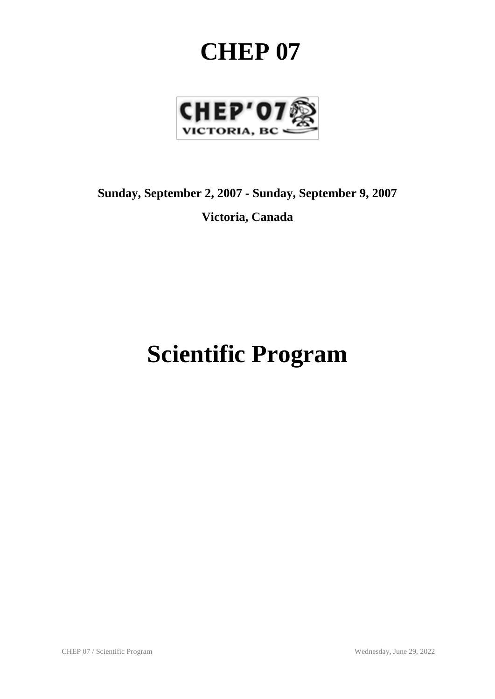# **CHEP 07**



## **Sunday, September 2, 2007 - Sunday, September 9, 2007**

**Victoria, Canada**

# **Scientific Program**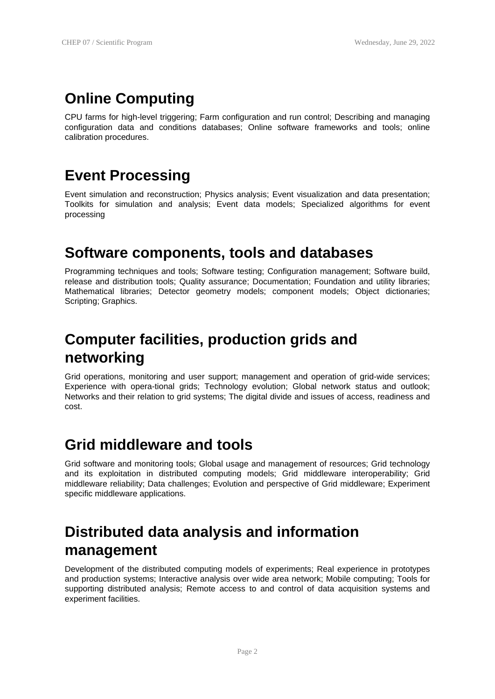### **Online Computing**

CPU farms for high-level triggering; Farm configuration and run control; Describing and managing configuration data and conditions databases; Online software frameworks and tools; online calibration procedures.

#### **Event Processing**

Event simulation and reconstruction; Physics analysis; Event visualization and data presentation; Toolkits for simulation and analysis; Event data models; Specialized algorithms for event processing

#### **Software components, tools and databases**

Programming techniques and tools; Software testing; Configuration management; Software build, release and distribution tools; Quality assurance; Documentation; Foundation and utility libraries; Mathematical libraries; Detector geometry models; component models; Object dictionaries; Scripting; Graphics.

### **Computer facilities, production grids and networking**

Grid operations, monitoring and user support; management and operation of grid-wide services; Experience with opera-tional grids; Technology evolution; Global network status and outlook; Networks and their relation to grid systems; The digital divide and issues of access, readiness and cost.

#### **Grid middleware and tools**

Grid software and monitoring tools; Global usage and management of resources; Grid technology and its exploitation in distributed computing models; Grid middleware interoperability; Grid middleware reliability; Data challenges; Evolution and perspective of Grid middleware; Experiment specific middleware applications.

### **Distributed data analysis and information management**

Development of the distributed computing models of experiments; Real experience in prototypes and production systems; Interactive analysis over wide area network; Mobile computing; Tools for supporting distributed analysis; Remote access to and control of data acquisition systems and experiment facilities.